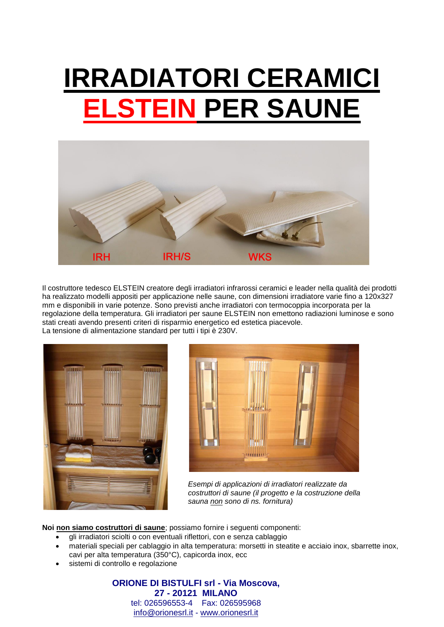## **IRRADIATORI CERAMICI ELSTEIN PER SAUNE**



Il costruttore tedesco ELSTEIN creatore degli irradiatori infrarossi ceramici e leader nella qualità dei prodotti ha realizzato modelli appositi per applicazione nelle saune, con dimensioni irradiatore varie fino a 120x327 mm e disponibili in varie potenze. Sono previsti anche irradiatori con termocoppia incorporata per la regolazione della temperatura. Gli irradiatori per saune ELSTEIN non emettono radiazioni luminose e sono stati creati avendo presenti criteri di risparmio energetico ed estetica piacevole. La tensione di alimentazione standard per tutti i tipi è 230V.





*Esempi di applicazioni di irradiatori realizzate da costruttori di saune (il progetto e la costruzione della sauna non sono di ns. fornitura)*

**Noi non siamo costruttori di saune**; possiamo fornire i seguenti componenti:

- gli irradiatori sciolti o con eventuali riflettori, con e senza cablaggio
- materiali speciali per cablaggio in alta temperatura: morsetti in steatite e acciaio inox, sbarrette inox, cavi per alta temperatura (350°C), capicorda inox, ecc
- sistemi di controllo e regolazione

**ORIONE DI BISTULFI srl - Via Moscova, 27 - 20121 MILANO** tel: 026596553-4 Fax: 026595968 [info@orionesrl.it](mailto:info@orionesrl.it) - [www.orionesrl.it](http://www.orionesrl.it/)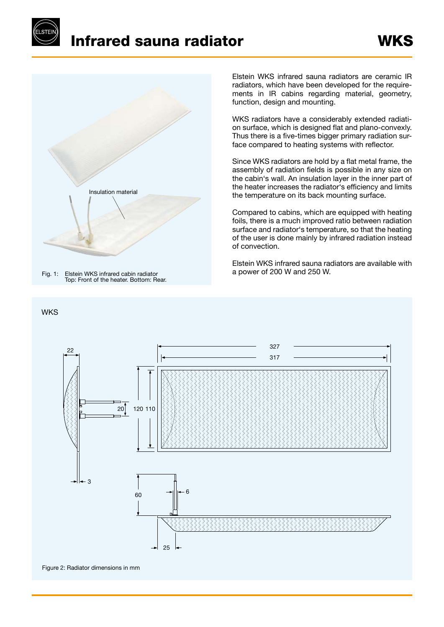## Infrared sauna radiator



Fig. 1: Elstein WKS infrared cabin radiator Top: Front of the heater. Bottom: Rear.

## **WKS**

Elstein WKS infrared sauna radiators are ceramic IR radiators, which have been developed for the requirements in IR cabins regarding material, geometry, function, design and mounting.

WKS radiators have a considerably extended radiation surface, which is designed flat and plano-convexly. Thus there is a five-times bigger primary radiation surface compared to heating systems with reflector.

Since WKS radiators are hold by a flat metal frame, the assembly of radiation fields is possible in any size on the cabin's wall. An insulation layer in the inner part of the heater increases the radiator's efficiency and limits the temperature on its back mounting surface.

Compared to cabins, which are equipped with heating foils, there is a much improved ratio between radiation surface and radiator's temperature, so that the heating of the user is done mainly by infrared radiation instead of convection.

Elstein WKS infrared sauna radiators are available with a power of 200 W and 250 W.



Figure 2: Radiator dimensions in mm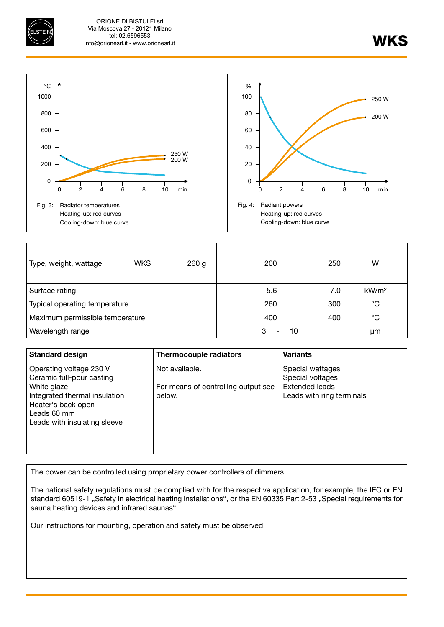ORIONE DI BISTULFI srl Via Moscova 27 - 20121 Milano tel: 02.6596553 info@orionesrl.it - www.orionesrl.it

WKS





| Type, weight, wattage           | <b>WKS</b> | 260 <sub>g</sub> | 200 | 250 | W                 |
|---------------------------------|------------|------------------|-----|-----|-------------------|
| Surface rating                  |            |                  | 5.6 | 7.0 | kW/m <sup>2</sup> |
| Typical operating temperature   |            |                  | 260 | 300 | °C                |
| Maximum permissible temperature |            |                  | 400 | 400 | $^{\circ}C$       |
| Wavelength range                |            |                  | 3   | 10  | μm                |

| <b>Standard design</b>                                                                                                                                                    | <b>Thermocouple radiators</b>                                   | <b>Variants</b>                                                                     |
|---------------------------------------------------------------------------------------------------------------------------------------------------------------------------|-----------------------------------------------------------------|-------------------------------------------------------------------------------------|
| Operating voltage 230 V<br>Ceramic full-pour casting<br>White glaze<br>Integrated thermal insulation<br>Heater's back open<br>Leads 60 mm<br>Leads with insulating sleeve | Not available.<br>For means of controlling output see<br>below. | Special wattages<br>Special voltages<br>Extended leads<br>Leads with ring terminals |

The power can be controlled using proprietary power controllers of dimmers.

The national safety regulations must be complied with for the respective application, for example, the IEC or EN standard 60519-1 "Safety in electrical heating installations", or the EN 60335 Part 2-53 "Special requirements for sauna heating devices and infrared saunas".

Our instructions for mounting, operation and safety must be observed.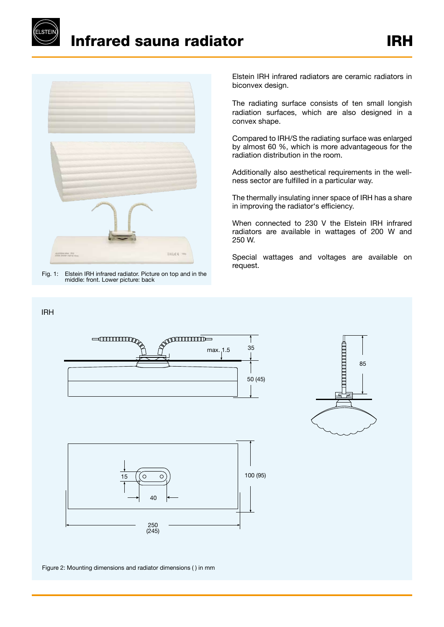

IRH

Infrared sauna radiator



Fig. 1: Elstein IRH infrared radiator. Picture on top and in the middle: front. Lower picture: back

Elstein IRH infrared radiators are ceramic radiators in biconvex design.

The radiating surface consists of ten small longish radiation surfaces, which are also designed in a convex shape.

Compared to IRH/S the radiating surface was enlarged by almost 60 %, which is more advantageous for the radiation distribution in the room.

Additionally also aesthetical requirements in the wellness sector are fulfilled in a particular way.

The thermally insulating inner space of IRH has a share in improving the radiator's efficiency.

When connected to 230 V the Elstein IRH infrared radiators are available in wattages of 200 W and 250 W.

Special wattages and voltages are available on request.





Figure 2: Mounting dimensions and radiator dimensions ( ) in mm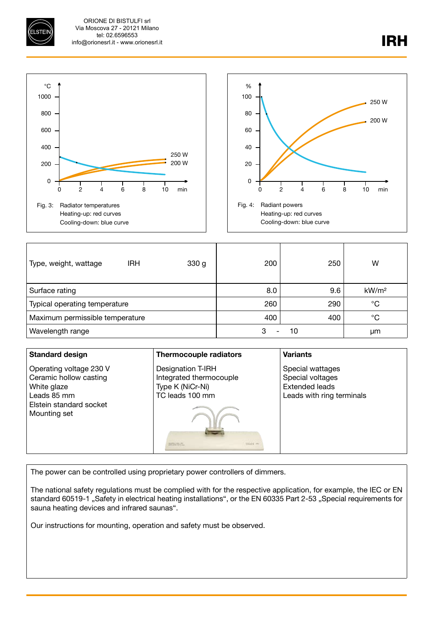ORIONE DI BISTULFI srl Via Moscova 27 - 20121 Milano tel: 02.6596553 info@orionesrl.it - www.orionesrl.it



| Type, weight, wattage           | <b>IRH</b> | 330 <sub>g</sub> | 200 | 250 | W                 |
|---------------------------------|------------|------------------|-----|-----|-------------------|
| Surface rating                  |            |                  | 8.0 | 9.6 | kW/m <sup>2</sup> |
| Typical operating temperature   |            |                  | 260 | 290 | $^{\circ}C$       |
| Maximum permissible temperature |            |                  | 400 | 400 | °C                |
| Wavelength range                |            |                  | 3   | 10  | μm                |

| <b>Standard design</b>                                                                                                     | Thermocouple radiators                                                                                 | <b>Variants</b>                                                                            |
|----------------------------------------------------------------------------------------------------------------------------|--------------------------------------------------------------------------------------------------------|--------------------------------------------------------------------------------------------|
| Operating voltage 230 V<br>Ceramic hollow casting<br>White glaze<br>Leads 85 mm<br>Elstein standard socket<br>Mounting set | Designation T-IRH<br>Integrated thermocouple<br>Type K (NiCr-Ni)<br>TC leads 100 mm<br>$133.64$ ; see: | Special wattages<br>Special voltages<br><b>Extended leads</b><br>Leads with ring terminals |

The power can be controlled using proprietary power controllers of dimmers.

The national safety regulations must be complied with for the respective application, for example, the IEC or EN standard 60519-1 "Safety in electrical heating installations", or the EN 60335 Part 2-53 "Special requirements for sauna heating devices and infrared saunas".

Our instructions for mounting, operation and safety must be observed.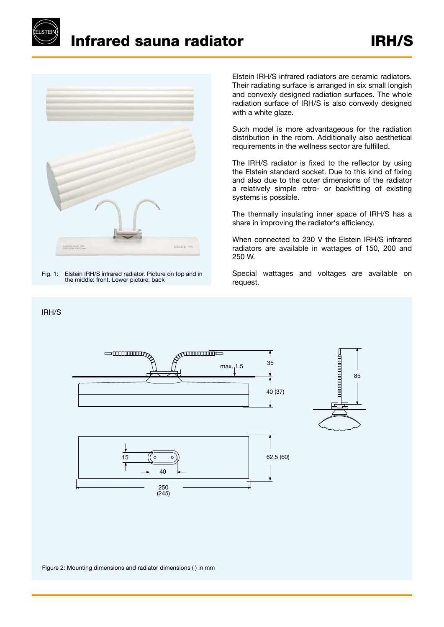



Fig. 1: Elstein IRH/S infrared radiator. Picture on top and in the middle: front. Lower picture: back

IRH/S

Elstein IRH/S infrared radiators are ceramic radiators. Their radiating surface is arranged in six small longish and convexly designed radiation surfaces. The whole radiation surface of IRH/S is also convexly designed with a white glaze.

Such model is more advantageous for the radiation distribution in the room. Additionally also aesthetical requirements in the wellness sector are fulfilled.

The IRH/S radiator is fixed to the reflector by using the Elstein standard socket. Due to this kind of fixing and also due to the outer dimensions of the radiator a relatively simple retro- or backfitting of existing systems is possible.

The thermally insulating inner space of IRH/S has a share in improving the radiator's efficiency.

When connected to 230 V the Elstein IRH/S infrared radiators are available in wattages of 150, 200 and 250 W.

Special wattages and voltages are available on request.

85



Figure 2: Mounting dimensions and radiator dimensions ( ) in mm